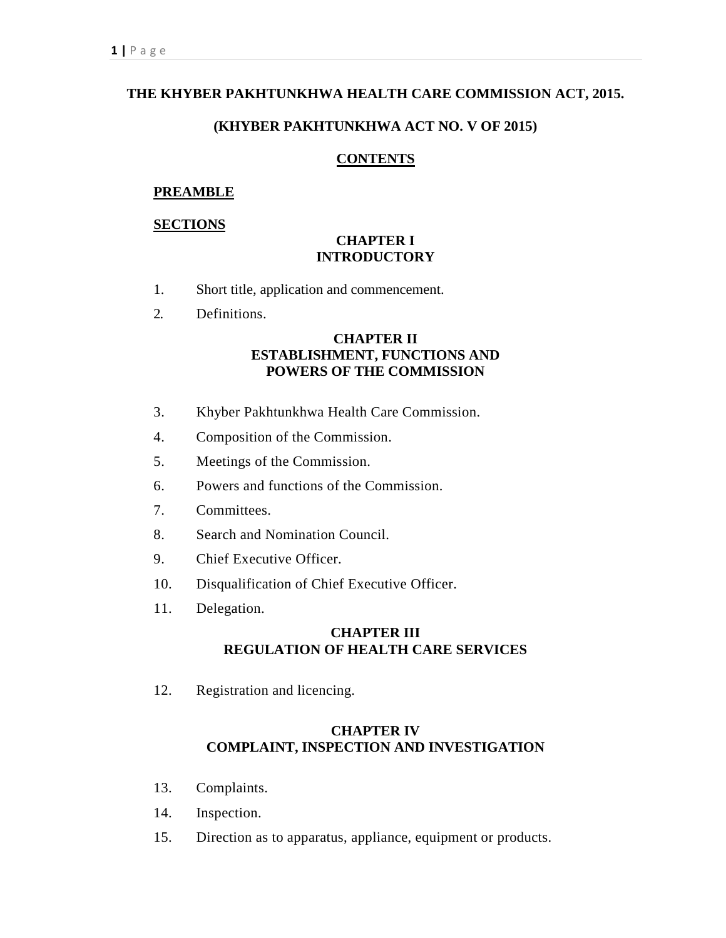# **THE KHYBER PAKHTUNKHWA HEALTH CARE COMMISSION ACT, 2015.**

## **(KHYBER PAKHTUNKHWA ACT NO. V OF 2015)**

### **CONTENTS**

### **PREAMBLE**

### **SECTIONS**

### **CHAPTER I INTRODUCTORY**

- 1. Short title, application and commencement.
- 2. Definitions.

# **CHAPTER II ESTABLISHMENT, FUNCTIONS AND POWERS OF THE COMMISSION**

- 3. Khyber Pakhtunkhwa Health Care Commission.
- 4. Composition of the Commission.
- 5. Meetings of the Commission.
- 6. Powers and functions of the Commission.
- 7. Committees.
- 8. Search and Nomination Council.
- 9. Chief Executive Officer.
- 10. Disqualification of Chief Executive Officer.
- 11. Delegation.

# **CHAPTER III REGULATION OF HEALTH CARE SERVICES**

12. Registration and licencing.

# **CHAPTER IV COMPLAINT, INSPECTION AND INVESTIGATION**

- 13. Complaints.
- 14. Inspection.
- 15. Direction as to apparatus, appliance, equipment or products.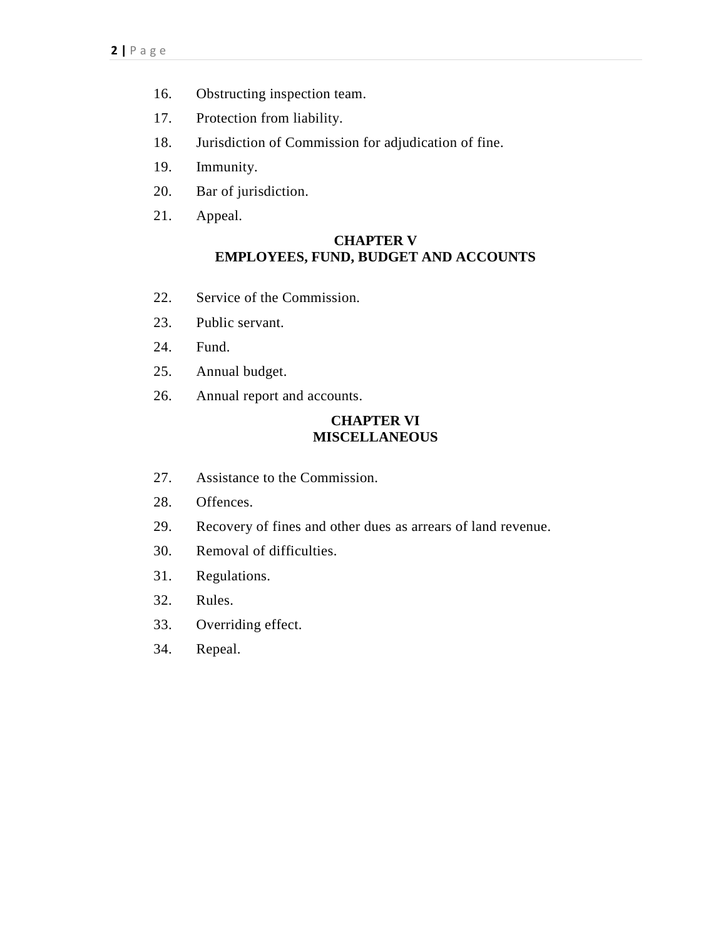- 16. Obstructing inspection team.
- 17. Protection from liability.
- 18. Jurisdiction of Commission for adjudication of fine.
- 19. Immunity.
- 20. Bar of jurisdiction.
- 21. Appeal.

## **CHAPTER V EMPLOYEES, FUND, BUDGET AND ACCOUNTS**

- 22. Service of the Commission.
- 23. Public servant.
- 24. Fund.
- 25. Annual budget.
- 26. Annual report and accounts.

# **CHAPTER VI MISCELLANEOUS**

- 27. Assistance to the Commission.
- 28. Offences.
- 29. Recovery of fines and other dues as arrears of land revenue.
- 30. Removal of difficulties.
- 31. Regulations.
- 32. Rules.
- 33. Overriding effect.
- 34. Repeal.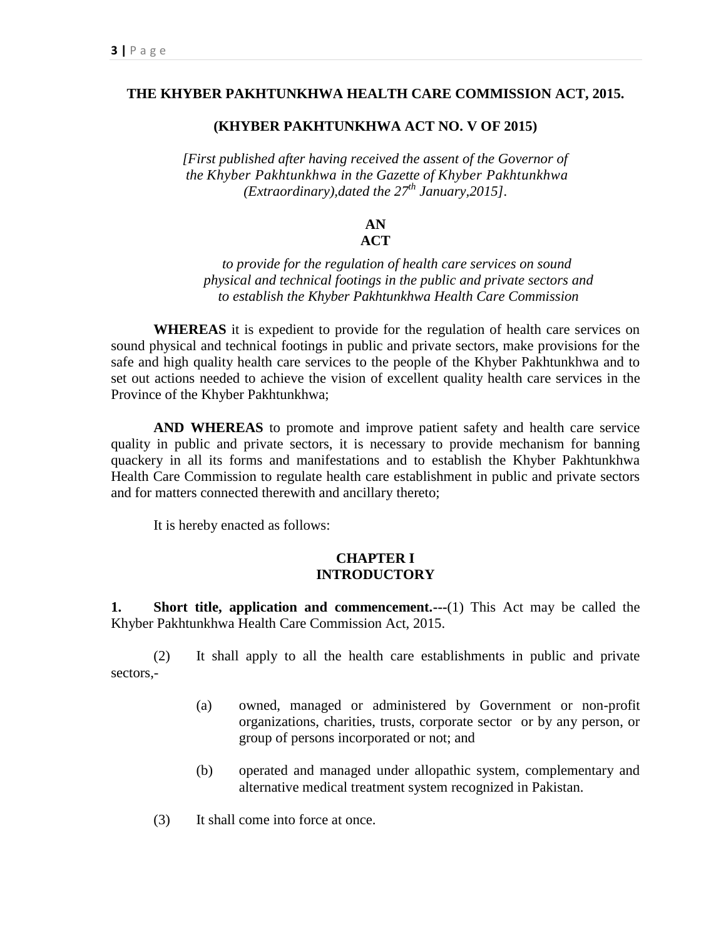#### **THE KHYBER PAKHTUNKHWA HEALTH CARE COMMISSION ACT, 2015.**

#### **(KHYBER PAKHTUNKHWA ACT NO. V OF 2015)**

*[First published after having received the assent of the Governor of the Khyber Pakhtunkhwa in the Gazette of Khyber Pakhtunkhwa (Extraordinary),dated the 27th January,2015].*

#### **AN ACT**

# *to provide for the regulation of health care services on sound physical and technical footings in the public and private sectors and to establish the Khyber Pakhtunkhwa Health Care Commission*

**WHEREAS** it is expedient to provide for the regulation of health care services on sound physical and technical footings in public and private sectors, make provisions for the safe and high quality health care services to the people of the Khyber Pakhtunkhwa and to set out actions needed to achieve the vision of excellent quality health care services in the Province of the Khyber Pakhtunkhwa;

**AND WHEREAS** to promote and improve patient safety and health care service quality in public and private sectors, it is necessary to provide mechanism for banning quackery in all its forms and manifestations and to establish the Khyber Pakhtunkhwa Health Care Commission to regulate health care establishment in public and private sectors and for matters connected therewith and ancillary thereto;

It is hereby enacted as follows:

### **CHAPTER I INTRODUCTORY**

**1. Short title, application and commencement.---**(1) This Act may be called the Khyber Pakhtunkhwa Health Care Commission Act, 2015.

(2) It shall apply to all the health care establishments in public and private sectors,-

- (a) owned, managed or administered by Government or non-profit organizations, charities, trusts, corporate sector or by any person, or group of persons incorporated or not; and
- (b) operated and managed under allopathic system, complementary and alternative medical treatment system recognized in Pakistan.
- (3) It shall come into force at once.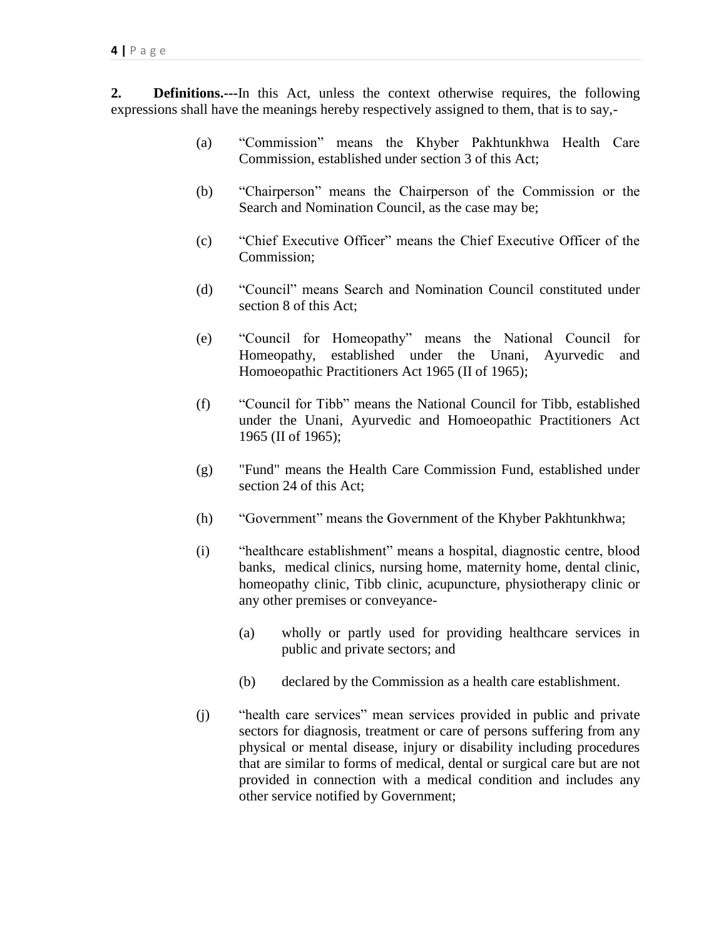**2. Definitions.---**In this Act, unless the context otherwise requires, the following expressions shall have the meanings hereby respectively assigned to them, that is to say,-

- (a) "Commission" means the Khyber Pakhtunkhwa Health Care Commission, established under section 3 of this Act;
- (b) "Chairperson" means the Chairperson of the Commission or the Search and Nomination Council, as the case may be;
- (c) "Chief Executive Officer" means the Chief Executive Officer of the Commission;
- (d) "Council" means Search and Nomination Council constituted under section 8 of this Act;
- (e) "Council for Homeopathy" means the National Council for Homeopathy, established under the Unani, Ayurvedic and Homoeopathic Practitioners Act 1965 (II of 1965);
- (f) "Council for Tibb" means the National Council for Tibb, established under the Unani, Ayurvedic and Homoeopathic Practitioners Act 1965 (II of 1965);
- (g) "Fund" means the Health Care Commission Fund, established under section 24 of this Act;
- (h) "Government" means the Government of the Khyber Pakhtunkhwa;
- (i) "healthcare establishment" means a hospital, diagnostic centre, blood banks, medical clinics, nursing home, maternity home, dental clinic, homeopathy clinic, Tibb clinic, acupuncture, physiotherapy clinic or any other premises or conveyance-
	- (a) wholly or partly used for providing healthcare services in public and private sectors; and
	- (b) declared by the Commission as a health care establishment.
- (j) "health care services" mean services provided in public and private sectors for diagnosis, treatment or care of persons suffering from any physical or mental disease, injury or disability including procedures that are similar to forms of medical, dental or surgical care but are not provided in connection with a medical condition and includes any other service notified by Government;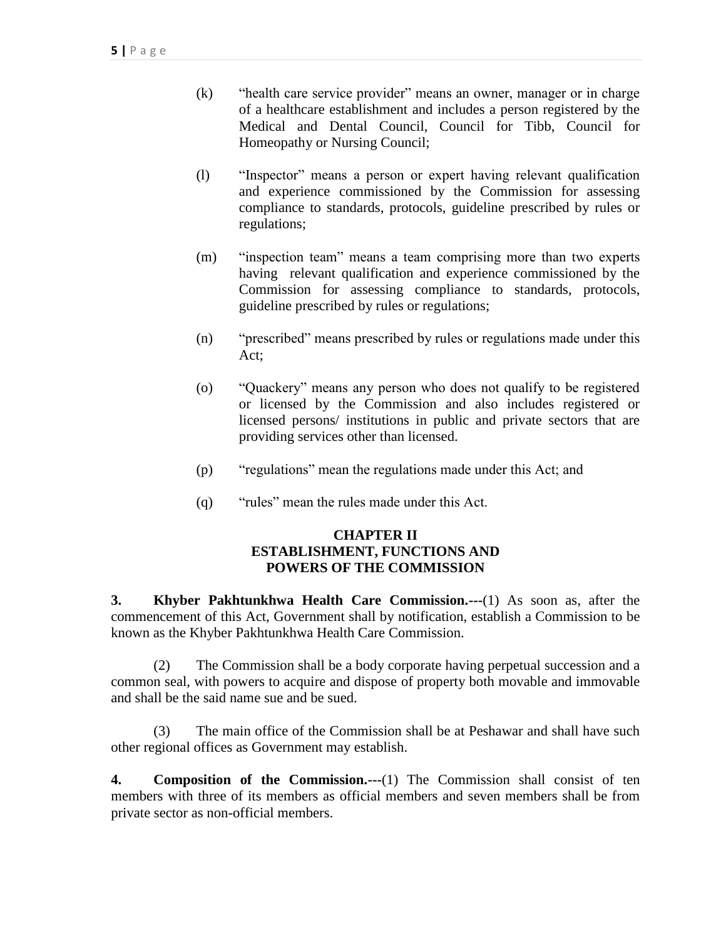- (k) "health care service provider" means an owner, manager or in charge of a healthcare establishment and includes a person registered by the Medical and Dental Council, Council for Tibb, Council for Homeopathy or Nursing Council;
- (l) "Inspector" means a person or expert having relevant qualification and experience commissioned by the Commission for assessing compliance to standards, protocols, guideline prescribed by rules or regulations;
- (m) "inspection team" means a team comprising more than two experts having relevant qualification and experience commissioned by the Commission for assessing compliance to standards, protocols, guideline prescribed by rules or regulations;
- (n) "prescribed" means prescribed by rules or regulations made under this Act;
- (o) "Quackery" means any person who does not qualify to be registered or licensed by the Commission and also includes registered or licensed persons/ institutions in public and private sectors that are providing services other than licensed.
- (p) "regulations" mean the regulations made under this Act; and
- (q) "rules" mean the rules made under this Act.

# **CHAPTER II ESTABLISHMENT, FUNCTIONS AND POWERS OF THE COMMISSION**

**3. Khyber Pakhtunkhwa Health Care Commission.---**(1) As soon as, after the commencement of this Act, Government shall by notification, establish a Commission to be known as the Khyber Pakhtunkhwa Health Care Commission.

(2) The Commission shall be a body corporate having perpetual succession and a common seal, with powers to acquire and dispose of property both movable and immovable and shall be the said name sue and be sued.

(3) The main office of the Commission shall be at Peshawar and shall have such other regional offices as Government may establish.

**4. Composition of the Commission.---**(1) The Commission shall consist of ten members with three of its members as official members and seven members shall be from private sector as non-official members.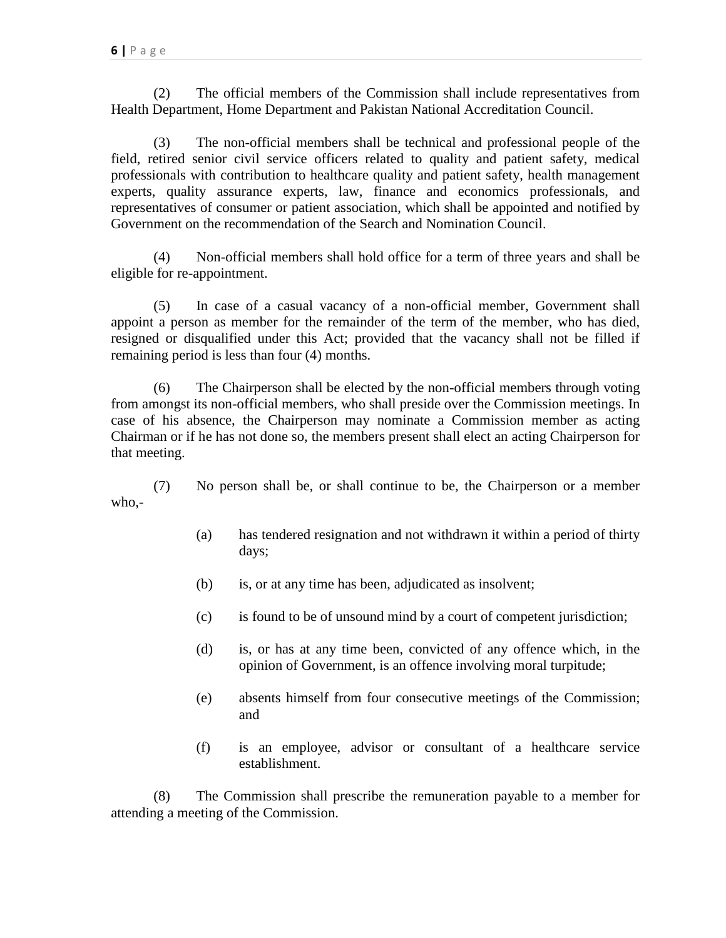(2) The official members of the Commission shall include representatives from Health Department, Home Department and Pakistan National Accreditation Council.

(3) The non-official members shall be technical and professional people of the field, retired senior civil service officers related to quality and patient safety, medical professionals with contribution to healthcare quality and patient safety, health management experts, quality assurance experts, law, finance and economics professionals, and representatives of consumer or patient association, which shall be appointed and notified by Government on the recommendation of the Search and Nomination Council.

(4) Non-official members shall hold office for a term of three years and shall be eligible for re-appointment.

(5) In case of a casual vacancy of a non-official member, Government shall appoint a person as member for the remainder of the term of the member, who has died, resigned or disqualified under this Act; provided that the vacancy shall not be filled if remaining period is less than four (4) months.

(6) The Chairperson shall be elected by the non-official members through voting from amongst its non-official members, who shall preside over the Commission meetings. In case of his absence, the Chairperson may nominate a Commission member as acting Chairman or if he has not done so, the members present shall elect an acting Chairperson for that meeting.

(7) No person shall be, or shall continue to be, the Chairperson or a member who,-

- (a) has tendered resignation and not withdrawn it within a period of thirty days;
- (b) is, or at any time has been, adjudicated as insolvent;
- (c) is found to be of unsound mind by a court of competent jurisdiction;
- (d) is, or has at any time been, convicted of any offence which, in the opinion of Government, is an offence involving moral turpitude;
- (e) absents himself from four consecutive meetings of the Commission; and
- (f) is an employee, advisor or consultant of a healthcare service establishment.

(8) The Commission shall prescribe the remuneration payable to a member for attending a meeting of the Commission.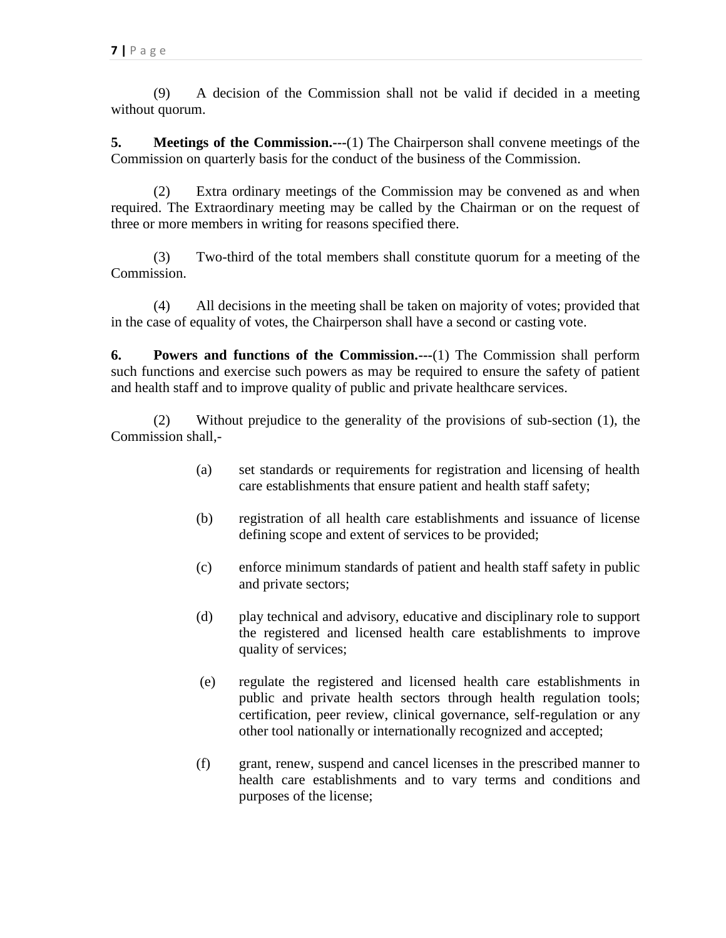(9) A decision of the Commission shall not be valid if decided in a meeting without quorum.

**5. Meetings of the Commission.---**(1) The Chairperson shall convene meetings of the Commission on quarterly basis for the conduct of the business of the Commission.

(2) Extra ordinary meetings of the Commission may be convened as and when required. The Extraordinary meeting may be called by the Chairman or on the request of three or more members in writing for reasons specified there.

(3) Two-third of the total members shall constitute quorum for a meeting of the Commission.

(4) All decisions in the meeting shall be taken on majority of votes; provided that in the case of equality of votes, the Chairperson shall have a second or casting vote.

**6. Powers and functions of the Commission.---**(1) The Commission shall perform such functions and exercise such powers as may be required to ensure the safety of patient and health staff and to improve quality of public and private healthcare services.

(2) Without prejudice to the generality of the provisions of sub-section (1), the Commission shall,-

- (a) set standards or requirements for registration and licensing of health care establishments that ensure patient and health staff safety;
- (b) registration of all health care establishments and issuance of license defining scope and extent of services to be provided;
- (c) enforce minimum standards of patient and health staff safety in public and private sectors;
- (d) play technical and advisory, educative and disciplinary role to support the registered and licensed health care establishments to improve quality of services;
- (e) regulate the registered and licensed health care establishments in public and private health sectors through health regulation tools; certification, peer review, clinical governance, self-regulation or any other tool nationally or internationally recognized and accepted;
- (f) grant, renew, suspend and cancel licenses in the prescribed manner to health care establishments and to vary terms and conditions and purposes of the license;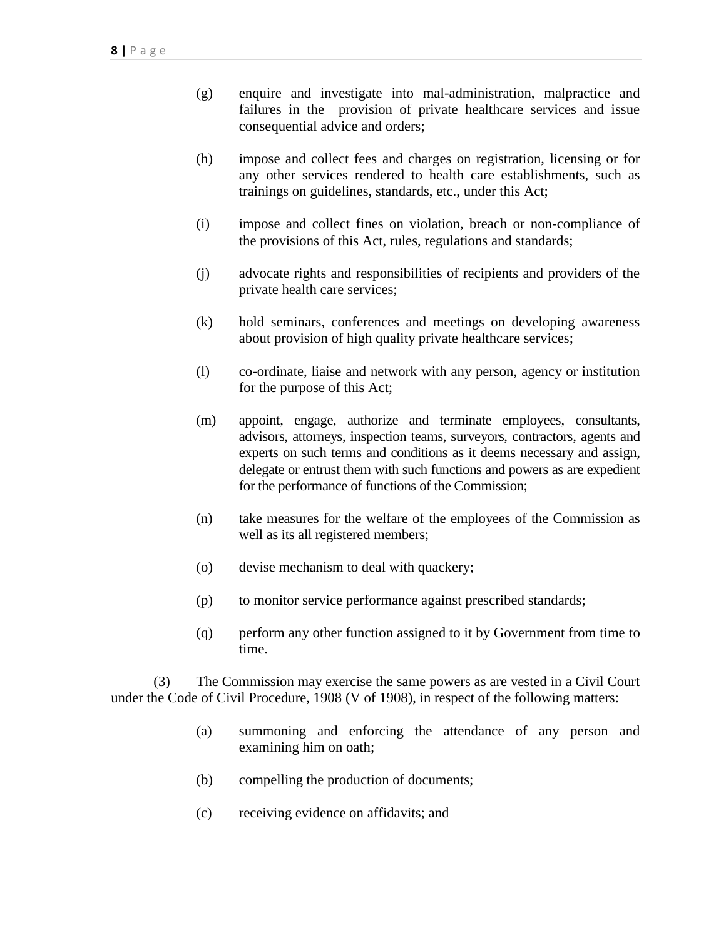- (g) enquire and investigate into mal-administration, malpractice and failures in the provision of private healthcare services and issue consequential advice and orders;
- (h) impose and collect fees and charges on registration, licensing or for any other services rendered to health care establishments, such as trainings on guidelines, standards, etc., under this Act;
- (i) impose and collect fines on violation, breach or non-compliance of the provisions of this Act, rules, regulations and standards;
- (j) advocate rights and responsibilities of recipients and providers of the private health care services;
- (k) hold seminars, conferences and meetings on developing awareness about provision of high quality private healthcare services;
- (l) co-ordinate, liaise and network with any person, agency or institution for the purpose of this Act;
- (m) appoint, engage, authorize and terminate employees, consultants, advisors, attorneys, inspection teams, surveyors, contractors, agents and experts on such terms and conditions as it deems necessary and assign, delegate or entrust them with such functions and powers as are expedient for the performance of functions of the Commission;
- (n) take measures for the welfare of the employees of the Commission as well as its all registered members;
- (o) devise mechanism to deal with quackery;
- (p) to monitor service performance against prescribed standards;
- (q) perform any other function assigned to it by Government from time to time.

(3) The Commission may exercise the same powers as are vested in a Civil Court under the Code of Civil Procedure, 1908 (V of 1908), in respect of the following matters:

- (a) summoning and enforcing the attendance of any person and examining him on oath;
- (b) compelling the production of documents;
- (c) receiving evidence on affidavits; and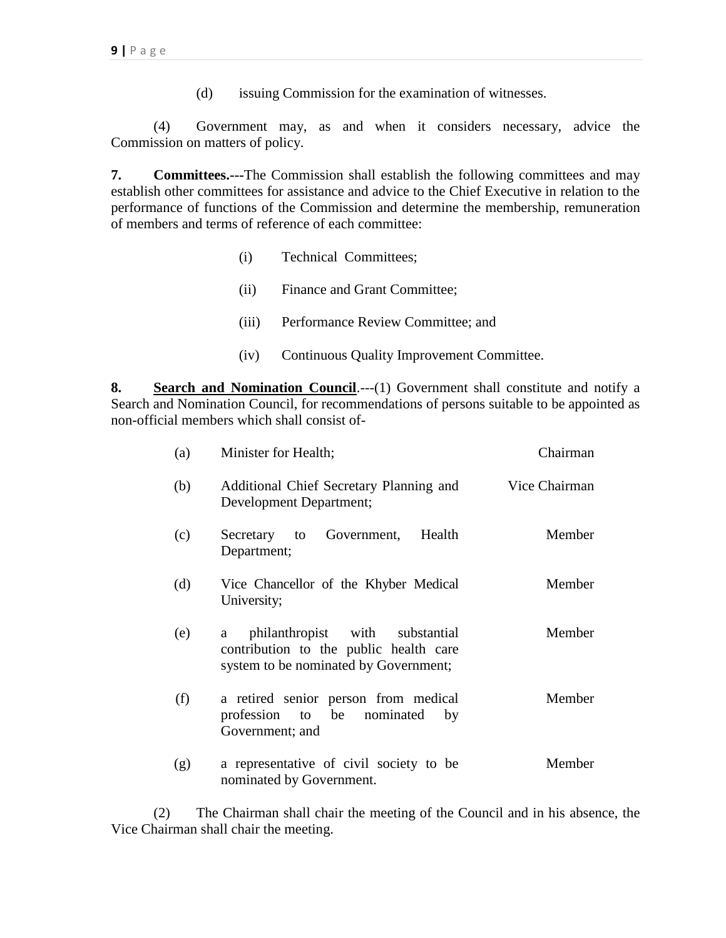(d) issuing Commission for the examination of witnesses.

(4) Government may, as and when it considers necessary, advice the Commission on matters of policy.

**7. Committees.---**The Commission shall establish the following committees and may establish other committees for assistance and advice to the Chief Executive in relation to the performance of functions of the Commission and determine the membership, remuneration of members and terms of reference of each committee:

- (i) Technical Committees;
- (ii) Finance and Grant Committee;
- (iii) Performance Review Committee; and
- (iv) Continuous Quality Improvement Committee.

**8. Search and Nomination Council**.---(1) Government shall constitute and notify a Search and Nomination Council, for recommendations of persons suitable to be appointed as non-official members which shall consist of-

| (a) | Minister for Health;                                                                                                    | Chairman      |
|-----|-------------------------------------------------------------------------------------------------------------------------|---------------|
| (b) | Additional Chief Secretary Planning and<br>Development Department;                                                      | Vice Chairman |
| (c) | Health<br>Government,<br>Secretary to<br>Department;                                                                    | Member        |
| (d) | Vice Chancellor of the Khyber Medical<br>University;                                                                    | Member        |
| (e) | philanthropist with substantial<br>a<br>contribution to the public health care<br>system to be nominated by Government; | Member        |
| (f) | a retired senior person from medical<br>profession to be nominated<br>by<br>Government; and                             | Member        |
| (g) | a representative of civil society to be<br>nominated by Government.                                                     | Member        |

(2) The Chairman shall chair the meeting of the Council and in his absence, the Vice Chairman shall chair the meeting.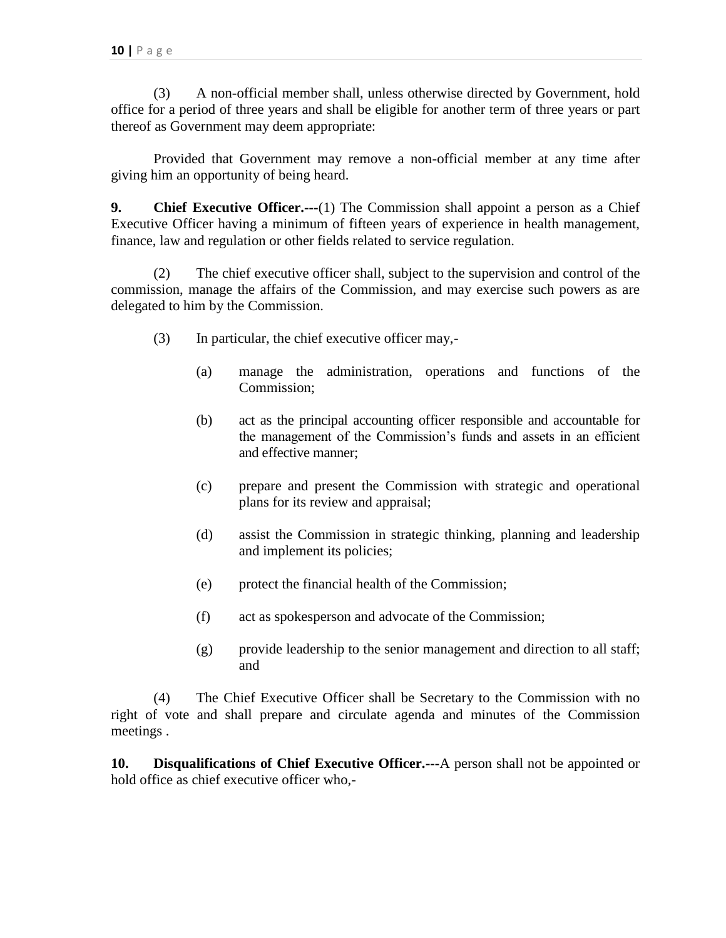(3) A non-official member shall, unless otherwise directed by Government, hold office for a period of three years and shall be eligible for another term of three years or part thereof as Government may deem appropriate:

Provided that Government may remove a non-official member at any time after giving him an opportunity of being heard.

**9. Chief Executive Officer.---**(1) The Commission shall appoint a person as a Chief Executive Officer having a minimum of fifteen years of experience in health management, finance, law and regulation or other fields related to service regulation.

(2) The chief executive officer shall, subject to the supervision and control of the commission, manage the affairs of the Commission, and may exercise such powers as are delegated to him by the Commission.

- (3) In particular, the chief executive officer may,-
	- (a) manage the administration, operations and functions of the Commission;
	- (b) act as the principal accounting officer responsible and accountable for the management of the Commission's funds and assets in an efficient and effective manner;
	- (c) prepare and present the Commission with strategic and operational plans for its review and appraisal;
	- (d) assist the Commission in strategic thinking, planning and leadership and implement its policies;
	- (e) protect the financial health of the Commission;
	- (f) act as spokesperson and advocate of the Commission;
	- (g) provide leadership to the senior management and direction to all staff; and

(4) The Chief Executive Officer shall be Secretary to the Commission with no right of vote and shall prepare and circulate agenda and minutes of the Commission meetings .

**10. Disqualifications of Chief Executive Officer.---**A person shall not be appointed or hold office as chief executive officer who,-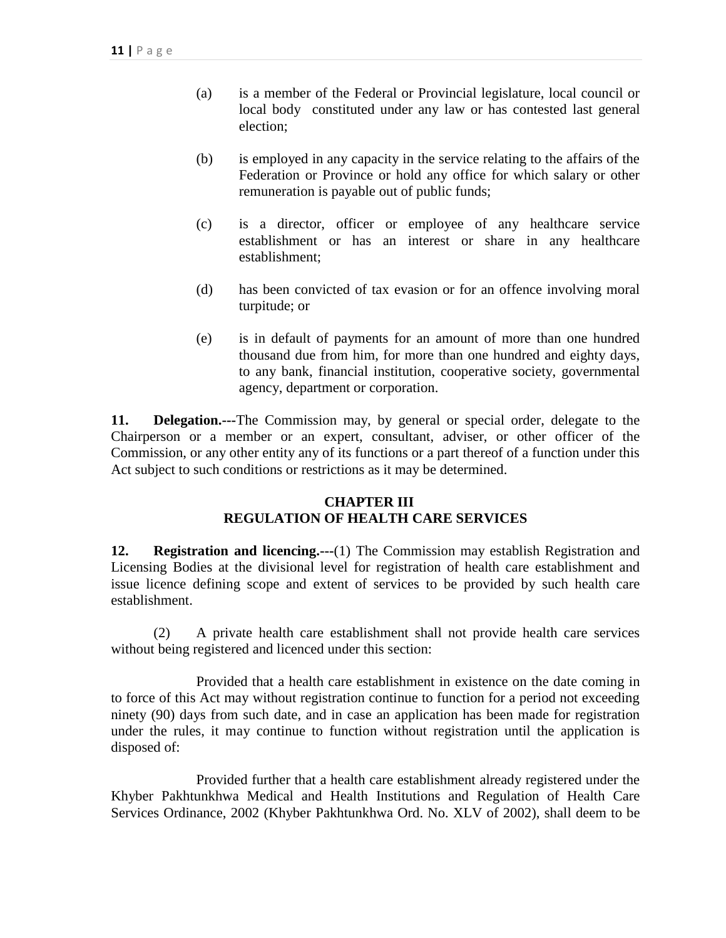- (a) is a member of the Federal or Provincial legislature, local council or local body constituted under any law or has contested last general election;
- (b) is employed in any capacity in the service relating to the affairs of the Federation or Province or hold any office for which salary or other remuneration is payable out of public funds;
- (c) is a director, officer or employee of any healthcare service establishment or has an interest or share in any healthcare establishment;
- (d) has been convicted of tax evasion or for an offence involving moral turpitude; or
- (e) is in default of payments for an amount of more than one hundred thousand due from him, for more than one hundred and eighty days, to any bank, financial institution, cooperative society, governmental agency, department or corporation.

**11. Delegation.---**The Commission may, by general or special order, delegate to the Chairperson or a member or an expert, consultant, adviser, or other officer of the Commission, or any other entity any of its functions or a part thereof of a function under this Act subject to such conditions or restrictions as it may be determined.

# **CHAPTER III REGULATION OF HEALTH CARE SERVICES**

**12. Registration and licencing.---**(1) The Commission may establish Registration and Licensing Bodies at the divisional level for registration of health care establishment and issue licence defining scope and extent of services to be provided by such health care establishment.

(2) A private health care establishment shall not provide health care services without being registered and licenced under this section:

Provided that a health care establishment in existence on the date coming in to force of this Act may without registration continue to function for a period not exceeding ninety (90) days from such date, and in case an application has been made for registration under the rules, it may continue to function without registration until the application is disposed of:

Provided further that a health care establishment already registered under the Khyber Pakhtunkhwa Medical and Health Institutions and Regulation of Health Care Services Ordinance, 2002 (Khyber Pakhtunkhwa Ord. No. XLV of 2002), shall deem to be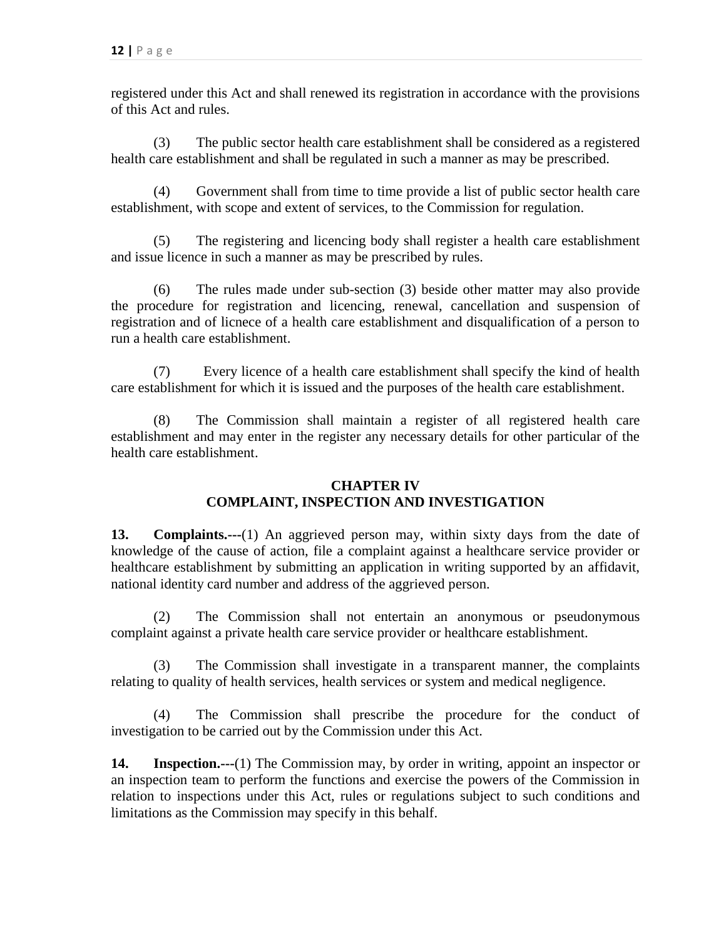registered under this Act and shall renewed its registration in accordance with the provisions of this Act and rules.

(3) The public sector health care establishment shall be considered as a registered health care establishment and shall be regulated in such a manner as may be prescribed.

(4) Government shall from time to time provide a list of public sector health care establishment, with scope and extent of services, to the Commission for regulation.

(5) The registering and licencing body shall register a health care establishment and issue licence in such a manner as may be prescribed by rules.

(6) The rules made under sub-section (3) beside other matter may also provide the procedure for registration and licencing, renewal, cancellation and suspension of registration and of licnece of a health care establishment and disqualification of a person to run a health care establishment.

(7) Every licence of a health care establishment shall specify the kind of health care establishment for which it is issued and the purposes of the health care establishment.

The Commission shall maintain a register of all registered health care establishment and may enter in the register any necessary details for other particular of the health care establishment.

# **CHAPTER IV COMPLAINT, INSPECTION AND INVESTIGATION**

**13. Complaints.---**(1) An aggrieved person may, within sixty days from the date of knowledge of the cause of action, file a complaint against a healthcare service provider or healthcare establishment by submitting an application in writing supported by an affidavit, national identity card number and address of the aggrieved person.

(2) The Commission shall not entertain an anonymous or pseudonymous complaint against a private health care service provider or healthcare establishment.

(3) The Commission shall investigate in a transparent manner, the complaints relating to quality of health services, health services or system and medical negligence.

(4) The Commission shall prescribe the procedure for the conduct of investigation to be carried out by the Commission under this Act.

**14. Inspection.---**(1) The Commission may, by order in writing, appoint an inspector or an inspection team to perform the functions and exercise the powers of the Commission in relation to inspections under this Act, rules or regulations subject to such conditions and limitations as the Commission may specify in this behalf.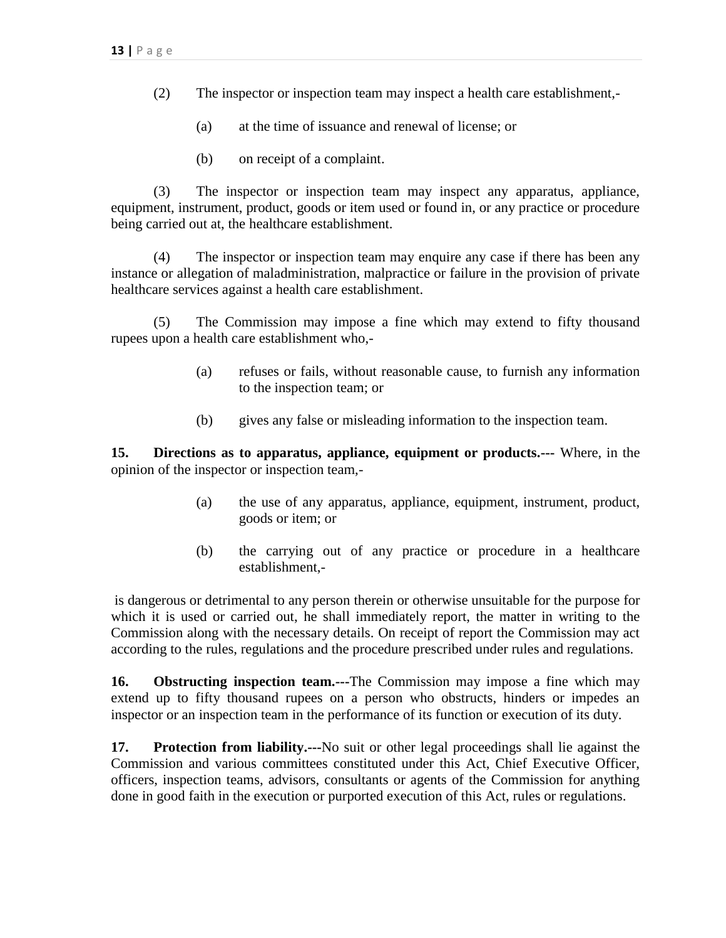- (2) The inspector or inspection team may inspect a health care establishment,-
	- (a) at the time of issuance and renewal of license; or
	- (b) on receipt of a complaint.

(3) The inspector or inspection team may inspect any apparatus, appliance, equipment, instrument, product, goods or item used or found in, or any practice or procedure being carried out at, the healthcare establishment.

(4) The inspector or inspection team may enquire any case if there has been any instance or allegation of maladministration, malpractice or failure in the provision of private healthcare services against a health care establishment.

(5) The Commission may impose a fine which may extend to fifty thousand rupees upon a health care establishment who,-

- (a) refuses or fails, without reasonable cause, to furnish any information to the inspection team; or
- (b) gives any false or misleading information to the inspection team.

**15. Directions as to apparatus, appliance, equipment or products.---** Where, in the opinion of the inspector or inspection team,-

- (a) the use of any apparatus, appliance, equipment, instrument, product, goods or item; or
- (b) the carrying out of any practice or procedure in a healthcare establishment,-

is dangerous or detrimental to any person therein or otherwise unsuitable for the purpose for which it is used or carried out, he shall immediately report, the matter in writing to the Commission along with the necessary details. On receipt of report the Commission may act according to the rules, regulations and the procedure prescribed under rules and regulations.

**16. Obstructing inspection team.---**The Commission may impose a fine which may extend up to fifty thousand rupees on a person who obstructs, hinders or impedes an inspector or an inspection team in the performance of its function or execution of its duty.

**17. Protection from liability.---**No suit or other legal proceedings shall lie against the Commission and various committees constituted under this Act, Chief Executive Officer, officers, inspection teams, advisors, consultants or agents of the Commission for anything done in good faith in the execution or purported execution of this Act, rules or regulations.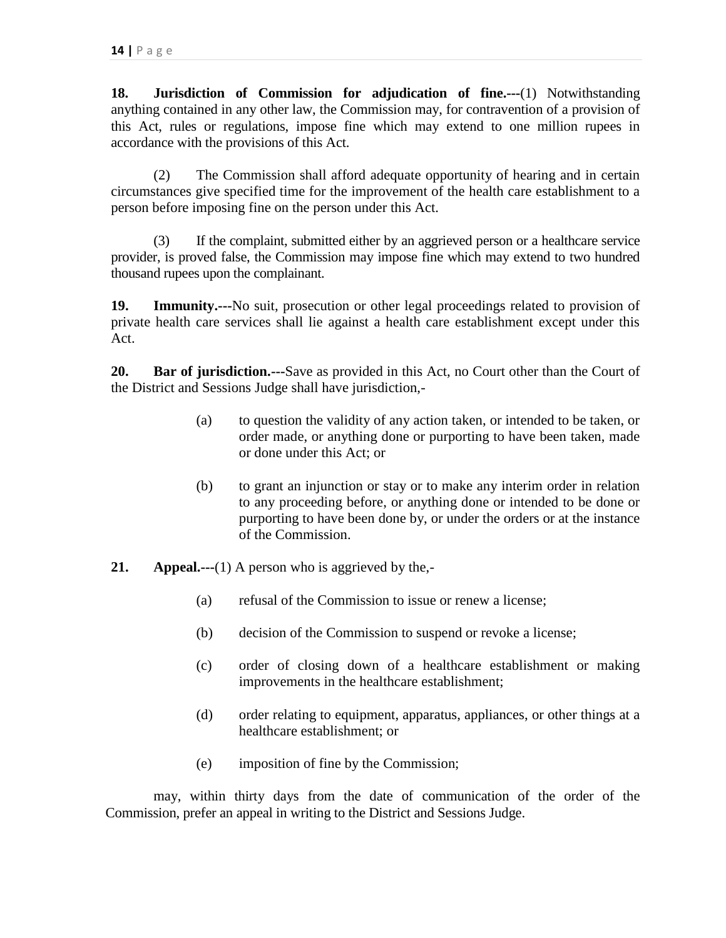**18. Jurisdiction of Commission for adjudication of fine.---**(1) Notwithstanding anything contained in any other law, the Commission may, for contravention of a provision of this Act, rules or regulations, impose fine which may extend to one million rupees in accordance with the provisions of this Act.

(2) The Commission shall afford adequate opportunity of hearing and in certain circumstances give specified time for the improvement of the health care establishment to a person before imposing fine on the person under this Act.

(3) If the complaint, submitted either by an aggrieved person or a healthcare service provider, is proved false, the Commission may impose fine which may extend to two hundred thousand rupees upon the complainant.

**19. Immunity.---**No suit, prosecution or other legal proceedings related to provision of private health care services shall lie against a health care establishment except under this Act.

**20. Bar of jurisdiction.---**Save as provided in this Act, no Court other than the Court of the District and Sessions Judge shall have jurisdiction,-

- (a) to question the validity of any action taken, or intended to be taken, or order made, or anything done or purporting to have been taken, made or done under this Act; or
- (b) to grant an injunction or stay or to make any interim order in relation to any proceeding before, or anything done or intended to be done or purporting to have been done by, or under the orders or at the instance of the Commission.
- **21. Appeal.---**(1) A person who is aggrieved by the,-
	- (a) refusal of the Commission to issue or renew a license;
	- (b) decision of the Commission to suspend or revoke a license;
	- (c) order of closing down of a healthcare establishment or making improvements in the healthcare establishment;
	- (d) order relating to equipment, apparatus, appliances, or other things at a healthcare establishment; or
	- (e) imposition of fine by the Commission;

may, within thirty days from the date of communication of the order of the Commission, prefer an appeal in writing to the District and Sessions Judge.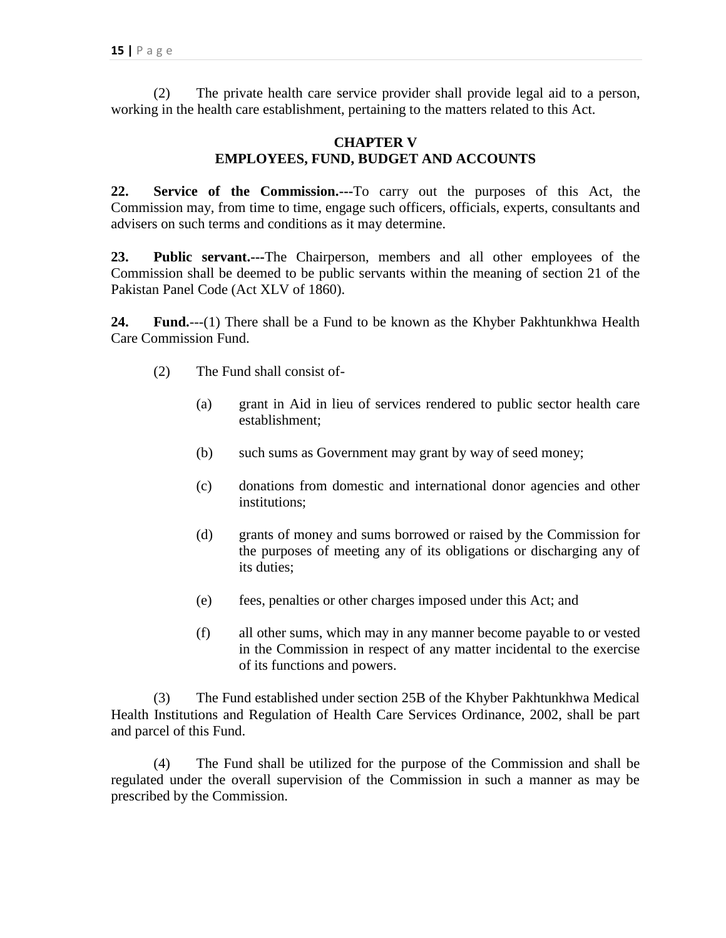(2) The private health care service provider shall provide legal aid to a person, working in the health care establishment, pertaining to the matters related to this Act.

### **CHAPTER V EMPLOYEES, FUND, BUDGET AND ACCOUNTS**

**22. Service of the Commission.---**To carry out the purposes of this Act, the Commission may, from time to time, engage such officers, officials, experts, consultants and advisers on such terms and conditions as it may determine.

**23. Public servant.---**The Chairperson, members and all other employees of the Commission shall be deemed to be public servants within the meaning of section 21 of the Pakistan Panel Code (Act XLV of 1860).

**24. Fund.**---(1) There shall be a Fund to be known as the Khyber Pakhtunkhwa Health Care Commission Fund.

- (2) The Fund shall consist of-
	- (a) grant in Aid in lieu of services rendered to public sector health care establishment;
	- (b) such sums as Government may grant by way of seed money;
	- (c) donations from domestic and international donor agencies and other institutions;
	- (d) grants of money and sums borrowed or raised by the Commission for the purposes of meeting any of its obligations or discharging any of its duties;
	- (e) fees, penalties or other charges imposed under this Act; and
	- (f) all other sums, which may in any manner become payable to or vested in the Commission in respect of any matter incidental to the exercise of its functions and powers.

(3) The Fund established under section 25B of the Khyber Pakhtunkhwa Medical Health Institutions and Regulation of Health Care Services Ordinance, 2002, shall be part and parcel of this Fund.

(4) The Fund shall be utilized for the purpose of the Commission and shall be regulated under the overall supervision of the Commission in such a manner as may be prescribed by the Commission.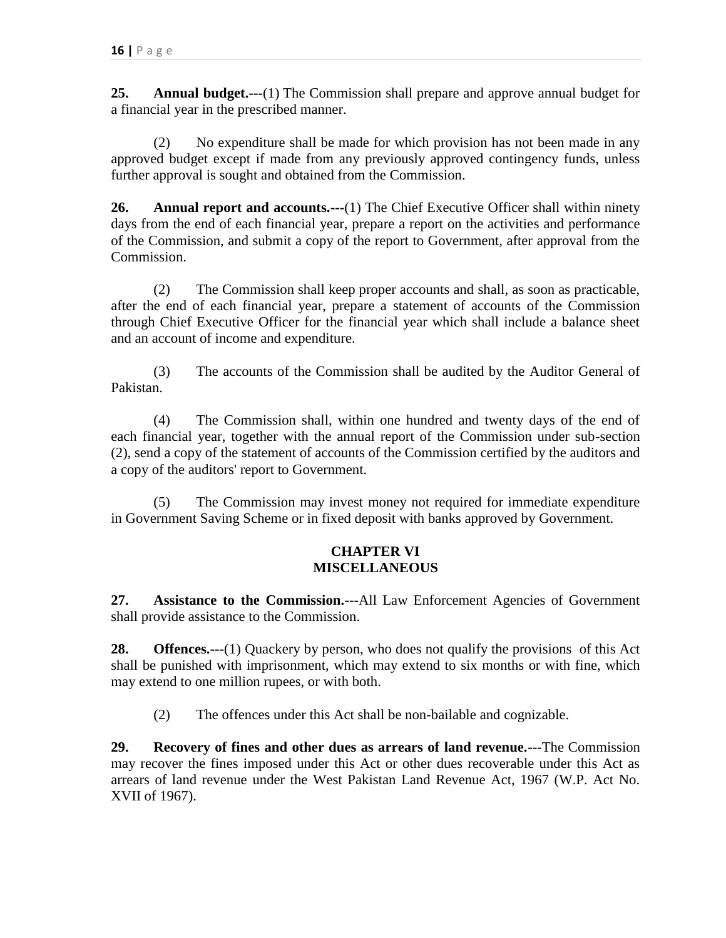**25. Annual budget.---**(1) The Commission shall prepare and approve annual budget for a financial year in the prescribed manner.

(2) No expenditure shall be made for which provision has not been made in any approved budget except if made from any previously approved contingency funds, unless further approval is sought and obtained from the Commission.

**26. Annual report and accounts.---**(1) The Chief Executive Officer shall within ninety days from the end of each financial year, prepare a report on the activities and performance of the Commission, and submit a copy of the report to Government, after approval from the Commission.

(2) The Commission shall keep proper accounts and shall, as soon as practicable, after the end of each financial year, prepare a statement of accounts of the Commission through Chief Executive Officer for the financial year which shall include a balance sheet and an account of income and expenditure.

(3) The accounts of the Commission shall be audited by the Auditor General of Pakistan.

(4) The Commission shall, within one hundred and twenty days of the end of each financial year, together with the annual report of the Commission under sub-section (2), send a copy of the statement of accounts of the Commission certified by the auditors and a copy of the auditors' report to Government.

(5) The Commission may invest money not required for immediate expenditure in Government Saving Scheme or in fixed deposit with banks approved by Government.

# **CHAPTER VI MISCELLANEOUS**

**27. Assistance to the Commission.---**All Law Enforcement Agencies of Government shall provide assistance to the Commission.

**28. Offences.---**(1) Quackery by person, who does not qualify the provisions of this Act shall be punished with imprisonment, which may extend to six months or with fine, which may extend to one million rupees, or with both.

(2) The offences under this Act shall be non-bailable and cognizable.

**29. Recovery of fines and other dues as arrears of land revenue.---**The Commission may recover the fines imposed under this Act or other dues recoverable under this Act as arrears of land revenue under the West Pakistan Land Revenue Act, 1967 (W.P. Act No. XVII of 1967).